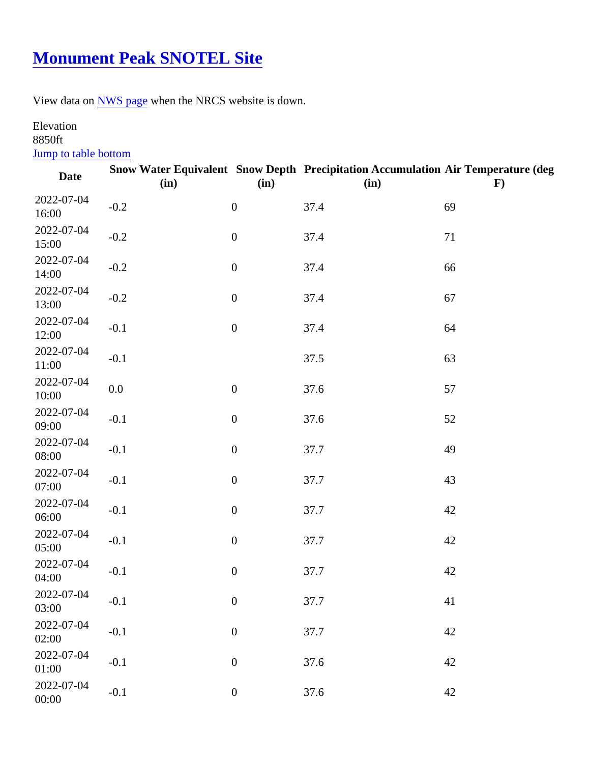## **[Monument Peak SNOTEL Site](https://www.mtavalanche.com/weather/stations/monument-peak-snotel-site)**

View data o[n NWS page](http://www.wrh.noaa.gov/mesowest/getobext.php?wfo=mso&sid=MNPM8&num=168&raw=0&dbn=m) when the NRCS website is down.

## Elevation 8850ft

Jump to table bottom

| Date                | (in)   | (in)             | Snow Water Equivalent Snow Depth Precipitation Accumulation Air Temperature (deg<br>(in) | F) |
|---------------------|--------|------------------|------------------------------------------------------------------------------------------|----|
| 2022-07-04<br>16:00 | $-0.2$ | $\mathbf 0$      | 37.4                                                                                     | 69 |
| 2022-07-04<br>15:00 | $-0.2$ | $\pmb{0}$        | 37.4                                                                                     | 71 |
| 2022-07-04<br>14:00 | $-0.2$ | $\pmb{0}$        | 37.4                                                                                     | 66 |
| 2022-07-04<br>13:00 | $-0.2$ | $\pmb{0}$        | 37.4                                                                                     | 67 |
| 2022-07-04<br>12:00 | $-0.1$ | $\mathbf 0$      | 37.4                                                                                     | 64 |
| 2022-07-04<br>11:00 | $-0.1$ |                  | 37.5                                                                                     | 63 |
| 2022-07-04<br>10:00 | 0.0    | $\pmb{0}$        | 37.6                                                                                     | 57 |
| 2022-07-04<br>09:00 | $-0.1$ | $\mathbf 0$      | 37.6                                                                                     | 52 |
| 2022-07-04<br>08:00 | $-0.1$ | $\mathbf 0$      | 37.7                                                                                     | 49 |
| 2022-07-04<br>07:00 | $-0.1$ | $\pmb{0}$        | 37.7                                                                                     | 43 |
| 2022-07-04<br>06:00 | $-0.1$ | $\mathbf 0$      | 37.7                                                                                     | 42 |
| 2022-07-04<br>05:00 | $-0.1$ | $\pmb{0}$        | 37.7                                                                                     | 42 |
| 2022-07-04<br>04:00 | $-0.1$ | $\pmb{0}$        | 37.7                                                                                     | 42 |
| 2022-07-04<br>03:00 | $-0.1$ | $\boldsymbol{0}$ | 37.7                                                                                     | 41 |
| 2022-07-04<br>02:00 | $-0.1$ | $\boldsymbol{0}$ | 37.7                                                                                     | 42 |
| 2022-07-04<br>01:00 | $-0.1$ | $\pmb{0}$        | 37.6                                                                                     | 42 |
| 2022-07-04<br>00:00 | $-0.1$ | $\pmb{0}$        | 37.6                                                                                     | 42 |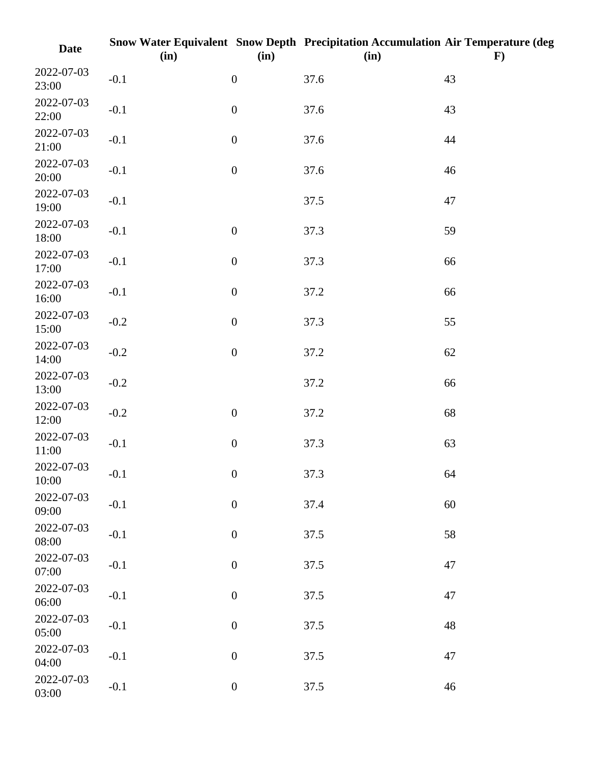| <b>Date</b>         | (in)   | (in)             | Snow Water Equivalent Snow Depth Precipitation Accumulation Air Temperature (deg<br>(in) | $\mathbf{F}$ |
|---------------------|--------|------------------|------------------------------------------------------------------------------------------|--------------|
| 2022-07-03<br>23:00 | $-0.1$ | $\boldsymbol{0}$ | 37.6                                                                                     | 43           |
| 2022-07-03<br>22:00 | $-0.1$ | $\boldsymbol{0}$ | 37.6                                                                                     | 43           |
| 2022-07-03<br>21:00 | $-0.1$ | $\boldsymbol{0}$ | 37.6                                                                                     | 44           |
| 2022-07-03<br>20:00 | $-0.1$ | $\boldsymbol{0}$ | 37.6                                                                                     | 46           |
| 2022-07-03<br>19:00 | $-0.1$ |                  | 37.5                                                                                     | 47           |
| 2022-07-03<br>18:00 | $-0.1$ | $\boldsymbol{0}$ | 37.3                                                                                     | 59           |
| 2022-07-03<br>17:00 | $-0.1$ | $\boldsymbol{0}$ | 37.3                                                                                     | 66           |
| 2022-07-03<br>16:00 | $-0.1$ | $\boldsymbol{0}$ | 37.2                                                                                     | 66           |
| 2022-07-03<br>15:00 | $-0.2$ | $\boldsymbol{0}$ | 37.3                                                                                     | 55           |
| 2022-07-03<br>14:00 | $-0.2$ | $\boldsymbol{0}$ | 37.2                                                                                     | 62           |
| 2022-07-03<br>13:00 | $-0.2$ |                  | 37.2                                                                                     | 66           |
| 2022-07-03<br>12:00 | $-0.2$ | $\boldsymbol{0}$ | 37.2                                                                                     | 68           |
| 2022-07-03<br>11:00 | $-0.1$ | $\boldsymbol{0}$ | 37.3                                                                                     | 63           |
| 2022-07-03<br>10:00 | $-0.1$ | $\boldsymbol{0}$ | 37.3                                                                                     | 64           |
| 2022-07-03<br>09:00 | $-0.1$ | $\boldsymbol{0}$ | 37.4                                                                                     | 60           |
| 2022-07-03<br>08:00 | $-0.1$ | $\boldsymbol{0}$ | 37.5                                                                                     | 58           |
| 2022-07-03<br>07:00 | $-0.1$ | $\boldsymbol{0}$ | 37.5                                                                                     | 47           |
| 2022-07-03<br>06:00 | $-0.1$ | $\boldsymbol{0}$ | 37.5                                                                                     | 47           |
| 2022-07-03<br>05:00 | $-0.1$ | $\boldsymbol{0}$ | 37.5                                                                                     | 48           |
| 2022-07-03<br>04:00 | $-0.1$ | $\boldsymbol{0}$ | 37.5                                                                                     | 47           |
| 2022-07-03<br>03:00 | $-0.1$ | $\boldsymbol{0}$ | 37.5                                                                                     | 46           |